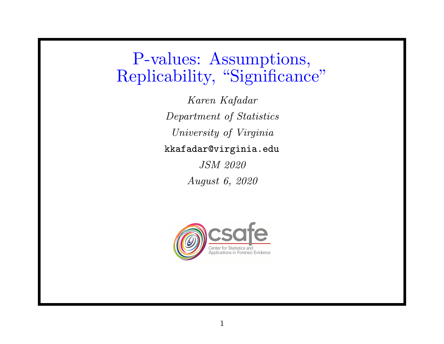P-values: Assumptions, Replicability, "Significance"

> Karen Kafadar Department of Statistics University of Virginia kkafadar@virginia.edu JSM 2020

> > August 6, 2020

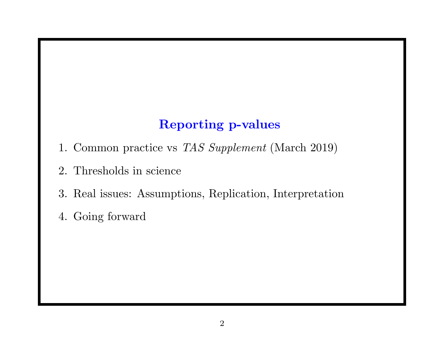# Reporting p-values

- 1. Common practice vs TAS Supplement (March 2019)
- 2. Thresholds in science
- 3. Real issues: Assumptions, Replication, Interpretation
- 4. Going forward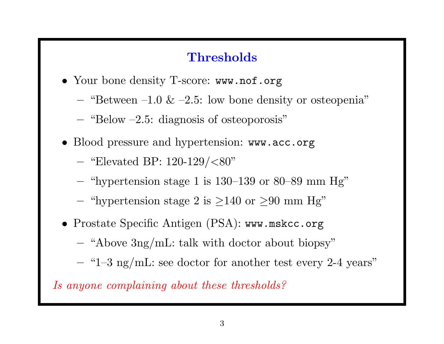## **Thresholds**

- Your bone density T-score: www.nof.org
	- "Between –1.0  $\&$  –2.5: low bone density or osteopenia"
	- $-$  "Below  $-2.5$ : diagnosis of osteoporosis"
- Blood pressure and hypertension: www.acc.org
	- "Elevated BP:  $120-129/(80"$
	- "hypertension stage 1 is  $130-139$  or  $80-89$  mm Hg"
	- "hypertension stage 2 is  $\geq 140$  or  $\geq 90$  mm Hg"
- Prostate Specific Antigen (PSA): www.mskcc.org
	- "Above 3ng/mL: talk with doctor about biopsy"
	- "1–3 ng/mL: see doctor for another test every 2-4 years"

Is anyone complaining about these thresholds?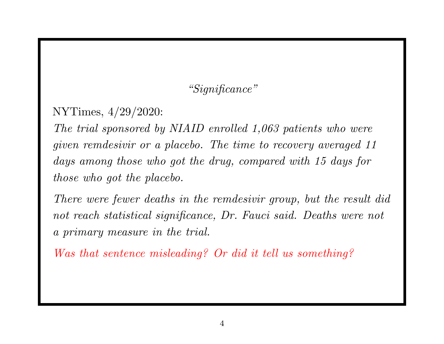## "Significance"

NYTimes, 4/29/2020:

The trial sponsored by NIAID enrolled 1,063 patients who were given remdesivir or a placebo. The time to recovery averaged 11 days among those who go<sup>t</sup> the drug, compared with 15 days for those who got the placebo.

There were fewer deaths in the remdesivir group, but the result did not reach statistical significance, Dr. Fauci said. Deaths were not <sup>a</sup> primary measure in the trial.

Was that sentence misleading? Or did it tell us something?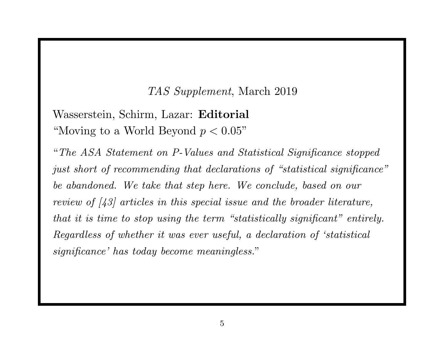#### TAS Supplement, March 2019

Wasserstein, Schirm, Lazar: Editorial "Moving to a World Beyond  $p < 0.05$ "

"The ASA Statement on P-Values and Statistical Significance stopped just short of recommending that declarations of "statistical significance" be abandoned. We take that step here. We conclude, based on our review of [43] articles in this special issue and the broader literature, that it is time to stop using the term "statistically significant" entirely. Regardless of whether it was ever useful, <sup>a</sup> declaration of 'statistical significance' has today become meaningless."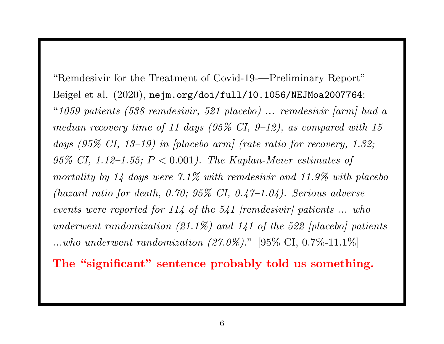"Remdesivir for the Treatment of Covid-19-—Preliminary Report" Beigel et al. (2020), nejm.org/doi/full/10.1056/NEJMoa2007764: "<sup>1059</sup> patients (538 remdesivir, <sup>521</sup> placebo) ... remdesivir [arm] had <sup>a</sup> median recovery time of 11 days  $(95\% \text{ CI}, 9-12)$ , as compared with 15 days (95% CI, 13–19) in  $[placebo\ arm]$  (rate ratio for recovery, 1.32;  $95\%$  CI, 1.12–1.55;  $P < 0.001$ ). The Kaplan-Meier estimates of mortality by 14 days were 7.1% with remdesivir and 11.9% with placebo (hazard ratio for death, 0.70;  $95\%$  CI, 0.47-1.04). Serious adverse events were reported for  $114$  of the  $541$  [remdesivir] patients ... who underwent randomization  $(21.1\%)$  and  $141$  of the 522 [placebo] patients ...who underwent randomization  $(27.0\%)$ ." [95\% CI, 0.7\%-11.1\%]

The "significant" sentence probably told us something.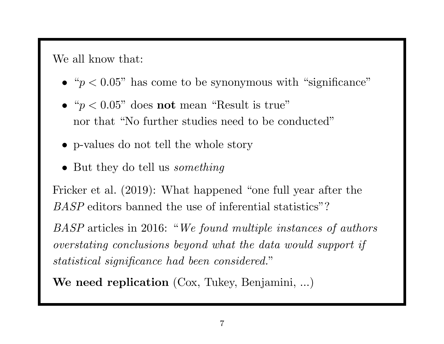We all know that:

- " $p < 0.05$ " has come to be synonymous with "significance"
- " $p < 0.05$ " does not mean "Result is true" nor that "No further studies need to be conducted"
- p-values do not tell the whole story
- But they do tell us *something*

Fricker et al. (2019): What happened "one full year after the BASP editors banned the use of inferential statistics"?

BASP articles in 2016: "We found multiple instances of authors overstating conclusions beyond what the data would support if statistical significance had been considered."

We need replication (Cox, Tukey, Benjamini, ...)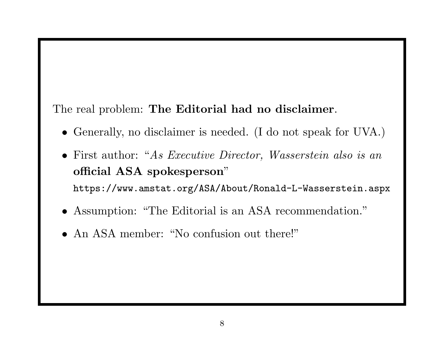### The real problem: The Editorial had no disclaimer.

- Generally, no disclaimer is needed. (I do not spea<sup>k</sup> for UVA.)
- First author: "As Executive Director, Wasserstein also is an official ASA spokesperson" https://www.amstat.org/ASA/About/Ronald-L-Wasserstein.aspx
- Assumption: "The Editorial is an ASA recommendation."
- An ASA member: "No confusion out there!"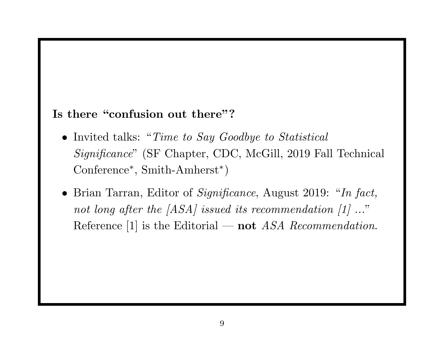### Is there "confusion out there"?

- Invited talks: "Time to Say Goodbye to Statistical Significance" (SF Chapter, CDC, McGill, <sup>2019</sup> Fall Technical  $\rm{Conference^*,\,Smith-Amherst^*})$
- Brian Tarran, Editor of *Significance*, August 2019: "In fact,  $not\;long\;after\;the\;[ASA]\;issued\;its\;recommendation\;[1]\;..."$ Reference [1] is the Editorial — not ASA Recommendation.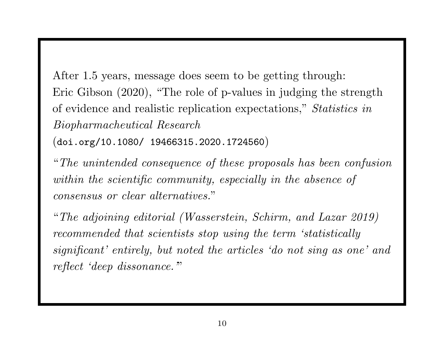After 1.5 years, message does seem to be getting through: Eric Gibson (2020), "The role of p-values in judging the strength of evidence and realistic replication expectations," Statistics in Biopharmacheutical Research

 $\left( \texttt{doi.org/10.1080/} \; \; \text{19466315.2020.1724560} \right)$ 

"The unintended consequence of these proposals has been confusion within the scientific community, especially in the absence of consensus or clear alternatives. "

"The adjoining editorial (Wasserstein, Schirm, and Lazar 2019) recommended that scientists stop using the term 'statistically significant' entirely, but noted the articles 'do not sing as one' and reflect 'deep dissonance."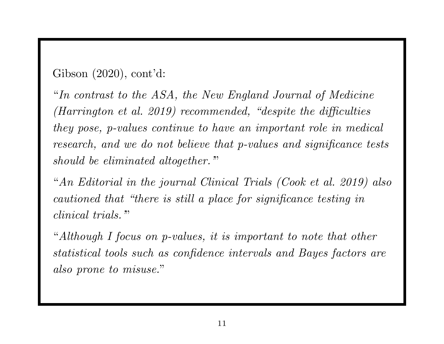Gibson (2020), cont'd:

"In contrast to the ASA, the New England Journal of Medicine (Harrington et al. 2019) recommended, "despite the difficulties they pose, p-values continue to have an important role in medical research, and we do not believe that p-values and significance tests should be eliminated altogether."

"An Editorial in the journal Clinical Trials (Cook et al. 2019) also cautioned that "there is still a place for significance testing in clinical trials."

"Although I focus on p-values, it is important to note that other statistical tools such as confidence intervals and Bayes factors are also prone to misuse."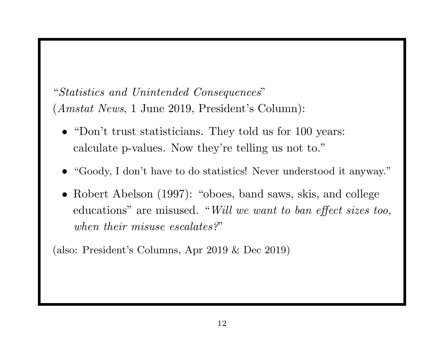# "Statistics and Unintended Consequences " (Amstat News, <sup>1</sup> June 2019, President's Column):

- "Don't trust statisticians. They told us for 100 years: calculate p-values. Now they're telling us not to."
- "Goody, I don't have to do statistics! Never understood it anyway."
- Robert Abelson (1997): "oboes, band saws, skis, and college educations" are misused. "Will we want to ban effect sizes too, when their misuse escalates?"

(also: President's Columns, Apr <sup>2019</sup> & Dec 2019)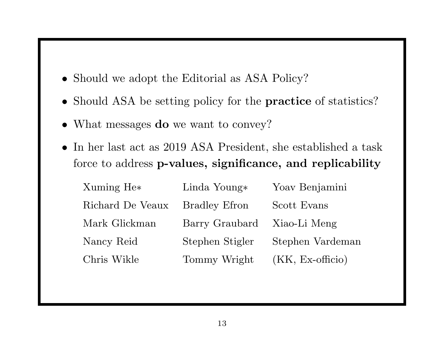- Should we adopt the Editorial as ASA Policy?
- Should ASA be setting policy for the **practice** of statistics?
- What messages **do** we want to convey?
- In her last act as 2019 ASA President, she established a task force to address p-values, significance, and replicability

| Xuming He <sup>*</sup> | Linda Young $*$      | Yoav Benjamini            |
|------------------------|----------------------|---------------------------|
| Richard De Veaux       | <b>Bradley Efron</b> | Scott Evans               |
| Mark Glickman          | Barry Graubard       | Xiao-Li Meng              |
| Nancy Reid             | Stephen Stigler      | Stephen Vardeman          |
| Chris Wikle            | Tommy Wright         | $(KK, Ex\text{-officio})$ |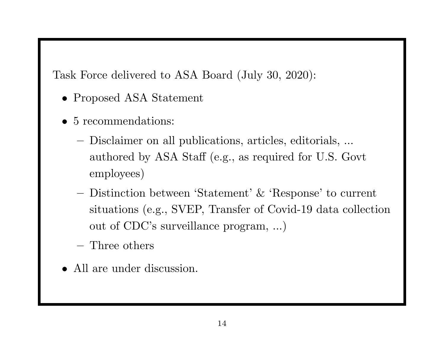Task Force delivered to ASA Board (July 30, 2020):

- Proposed ASA Statement
- 5 recommendations:
	- Disclaimer on all publications, articles, editorials, ... authored by ASA Staff (e.g., as required for U.S. Govt employees)
	- Distinction between 'Statement' & 'Response' to current situations (e.g., SVEP, Transfer of Covid-19 data collection out of CDC's surveillance program, ...)
	- Three others
- All are under discussion.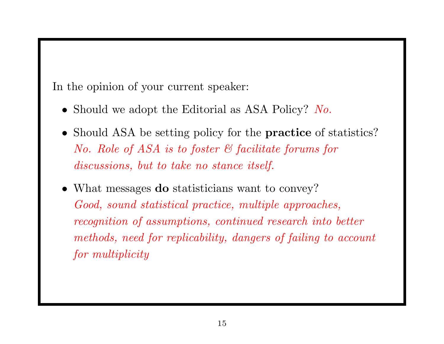In the opinion of your current speaker:

- Should we adopt the Editorial as ASA Policy? No.
- Should ASA be setting policy for the **practice** of statistics? No. Role of ASA is to foster & facilitate forums for discussions, but to take no stance itself.
- What messages **do** statisticians want to convey? Good, sound statistical practice, multiple approaches,  $reception\ of\ assumptions,\ continued\ research\ into\ better$ methods, need for replicability, dangers of failing to account for multiplicity